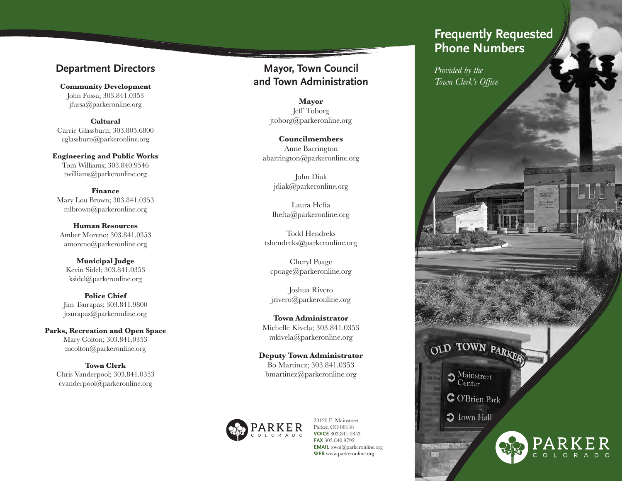## **Department Directors**

**Community Development** John Fussa; 303.841.0353 jfussa@parkeronline.org

**Cultural** Carrie Glassburn; 303.805.6800 cglassburn@parkeronline.org

**Engineering and Public Works** Tom Williams; 303.840.9546 twilliams@parkeronline.org

**Finance** Mary Lou Brown; 303.841.0353 mlbrown@parkeronline.org

**Human Resources** Amber Moreno; 303.841.0353 amoreno@parkeronline.org

**Municipal Judge** Kevin Sidel; 303.841.0353 ksidel@parkeronline.org

**Police Chief** Jim Tsurapas; 303.841.9800 jtsurapas@parkeronline.org

**Parks, Recreation and Open Space**  Mary Colton; 303.841.0353 mcolton@parkeronline.org

**Town Clerk** Chris Vanderpool; 303.841.0353 cvanderpool@parkeronline.org

**Mayor, Town Council and Town Administration**

> **Mayor** Jeff Toborg jtoborg@parkeronline.org

**Councilmembers** Anne Barrington abarrington@parkeronline.org

> John Diak jdiak@parkeronline.org

Laura Hefta lhefta@parkeronline.org

Todd Hendreks tshendreks@parkeronline.org

Cheryl Poage cpoage@parkeronline.org

Joshua Rivero jrivero@parkeronline.org

**Town Administrator** Michelle Kivela; 303.841.0353 mkivela@parkeronline.org

**Deputy Town Administrator** Bo Martinez; 303.841.0353 bmartinez@parkeronline.org



20120 E. Mainstreet Parker, CO 80138 **VOICE** 303.841.0353 **FAX** 303.840.9792 **EMAIL** town@parkeronline.org **WEB** www.parkeronline.org

# *Helping you and your family*  **Phone Numbers Frequently Requested**

*to prepare for an emergency Provided by the Town Clerk's Office*

OLD TOWN PARKER  $\ensuremath{\mathop{\mathbf{3}}}\nolimits_{\ensuremath{\mathsf{Center}}}\ensuremath{\mathsf{Center}}$ 

C O'Brien Park

**C** Town Hall



*ALBERTA DR*